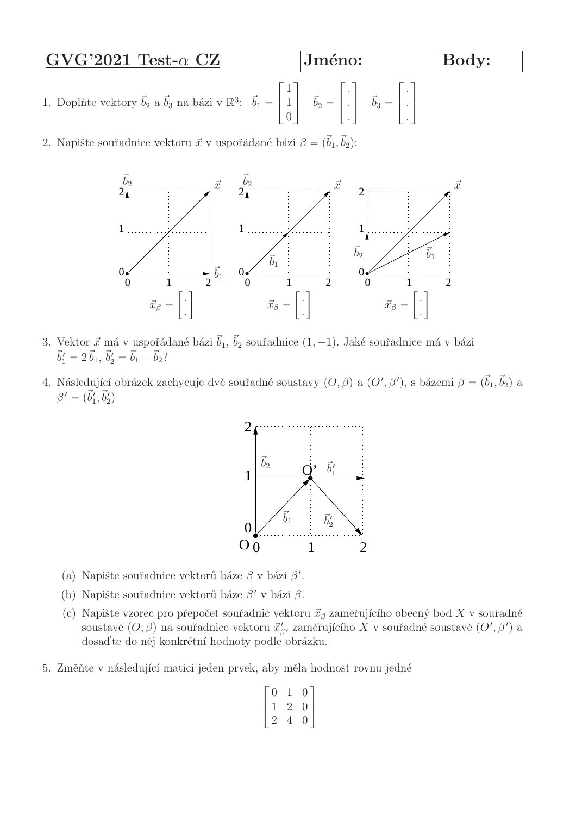# $GVG'2021$  Test- $\alpha$  CZ Jméno: Body:

- 1. Doplňte vektory  $\vec{b}_2$  a  $\vec{b}_3$  na bázi v  $\mathbb{R}^3$ :  $\vec{b}_1$  =  $\begin{array}{c} \square \end{array}$  $\overline{a}$ 1 1  $\overline{0}$ T.  $\overrightarrow{b}_2 =$  $\sqrt{ }$  $\perp$ . . .  $\mathbb{I}$  $\overrightarrow{b}_3 =$  $\sqrt{ }$  $\perp$ . . .  $\mathbb{I}$  $\overline{\phantom{a}}$
- 2. Napište souřadnice vektoru  $\vec{x}$  v uspořádané bázi  $\beta = (\vec{b}_1, \vec{b}_2)$ :



- 3. Vektor  $\vec{x}$  má v uspořádané bázi  $\vec{b}_1$ ,  $\vec{b}_2$  souřadnice  $(1, -1)$ . Jaké souřadnice má v bázi  $\vec{b}'_1 = 2 \vec{b}_1, \, \vec{b}'_2 = \vec{b}_1 - \vec{b}_2?$
- 4. Následující obrázek zachycuje dvě souřadné soustavy  $(O, \beta)$  a  $(O', \beta')$ , s bázemi  $\beta = (\vec{b}_1, \vec{b}_2)$  a  $\beta' = (\vec{b}'_1, \vec{b}'_2)$



- (a) Napište souřadnice vektorů báze $\beta$ v bázi $\beta'.$
- (b) Napište souřadnice vektorů báze  $\beta'$  v bázi  $\beta$ .
- (c) Napište vzorec pro přepočet souřadnic vektoru  $\vec{x}_{\beta}$  zaměřujícího obecný bod X v souřadné soustavě $(O, \beta)$ na souřadnice vektoru $\vec{x}'_\beta$ zaměřujícího $X$ v souřadné soustavě $(O', \beta')$ a dosaď te do něj konkrétní hodnoty podle obrázku.
- 5. Změňte v následující matici jeden prvek, aby měla hodnost rovnu jedné

$$
\begin{bmatrix} 0 & 1 & 0 \\ 1 & 2 & 0 \\ 2 & 4 & 0 \end{bmatrix}
$$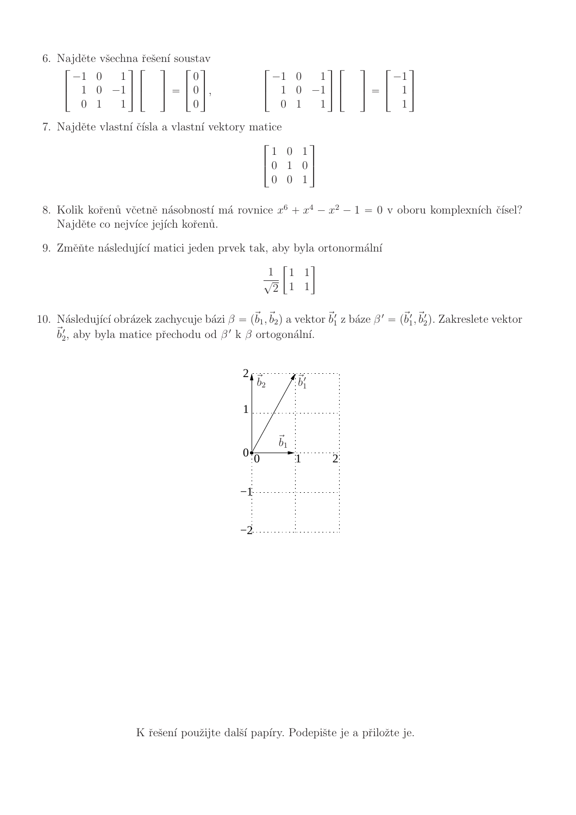6. Najděte všechna řešení soustav

|  | $\left[\begin{array}{rrr} -1 & 0 & 1 \\ 1 & 0 & -1 \\ 0 & 1 & 1 \end{array}\right] \left[\begin{array}{r} \\ \\ \end{array}\right] = \left[\begin{array}{r} 0 \\ 0 \\ 0 \end{array}\right],$ |  |  |  | $\begin{bmatrix} -1 & 0 & 1 \\ 1 & 0 & -1 \\ 0 & 1 & 1 \end{bmatrix} \begin{bmatrix} 1 \\ 1 \\ 1 \end{bmatrix} = \begin{bmatrix} -1 \\ 1 \\ 1 \end{bmatrix}$ |  |  |  |
|--|----------------------------------------------------------------------------------------------------------------------------------------------------------------------------------------------|--|--|--|--------------------------------------------------------------------------------------------------------------------------------------------------------------|--|--|--|

7. Najděte vlastní čísla a vlastní vektory matice

$$
\begin{bmatrix} 1 & 0 & 1 \\ 0 & 1 & 0 \\ 0 & 0 & 1 \end{bmatrix}
$$

- 8. Kolik kořenů včetně násobností má rovnice  $x^6 + x^4 x^2 1 = 0$  v oboru komplexních čísel? Najděte co nejvíce jejích kořenů.
- 9. Změňte následující matici jeden prvek tak, aby byla ortonormální

$$
\frac{1}{\sqrt{2}} \begin{bmatrix} 1 & 1 \\ 1 & 1 \end{bmatrix}
$$

10. Následující obrázek zachycuje bázi  $\beta = (\vec{b}_1, \vec{b}_2)$  a vektor  $\vec{b}'_1$  z báze  $\beta' = (\vec{b}'_1, \vec{b}'_2)$ . Zakreslete vektor  $\vec{b}'_2$ , aby byla matice přechodu od $\beta'$ k $\beta$ ortogonální.

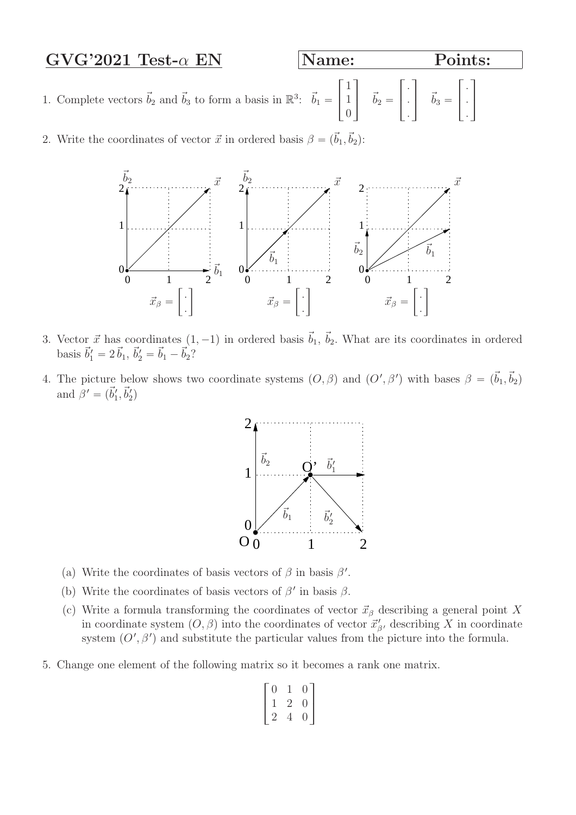# $GVG'2021$  Test- $\alpha$  EN Name: Points:

 $\sqrt{ }$ 

. . .  $\mathbb{I}$ 

 $\overline{\phantom{a}}$ 

 $\perp$ 

 $\sqrt{ }$ 

. . .  $\mathbb{I}$ 

 $\vec{b}_3 =$ 

 $\perp$ 

- 1. Complete vectors  $\vec{b}_2$  and  $\vec{b}_3$  to form a basis in  $\mathbb{R}^3$ :  $\vec{b}_1 =$  $\begin{array}{c} \square \end{array}$  $\perp$ 1 1  $\overline{0}$ T.  $\vec{b}_2 =$
- 2. Write the coordinates of vector  $\vec{x}$  in ordered basis  $\beta = (\vec{b}_1, \vec{b}_2)$ :



- 3. Vector  $\vec{x}$  has coordinates  $(1, -1)$  in ordered basis  $\vec{b}_1$ ,  $\vec{b}_2$ . What are its coordinates in ordered basis  $\vec{b}'_1 = 2 \vec{b}_1$ ,  $\vec{b}'_2 = \vec{b}_1 - \vec{b}_2$ ?
- 4. The picture below shows two coordinate systems  $(O, \beta)$  and  $(O', \beta')$  with bases  $\beta = (\vec{b}_1, \vec{b}_2)$ and  $\beta' = (\vec{b}'_1, \vec{b}'_2)$



- (a) Write the coordinates of basis vectors of  $\beta$  in basis  $\beta'$ .
- (b) Write the coordinates of basis vectors of  $\beta'$  in basis  $\beta$ .
- (c) Write a formula transforming the coordinates of vector  $\vec{x}_{\beta}$  describing a general point X in coordinate system  $(O, \beta)$  into the coordinates of vector  $\vec{x}'_{\beta'}$ , describing X in coordinate system  $(O', \beta')$  and substitute the particular values from the picture into the formula.
- 5. Change one element of the following matrix so it becomes a rank one matrix.

$$
\begin{bmatrix} 0 & 1 & 0 \\ 1 & 2 & 0 \\ 2 & 4 & 0 \end{bmatrix}
$$